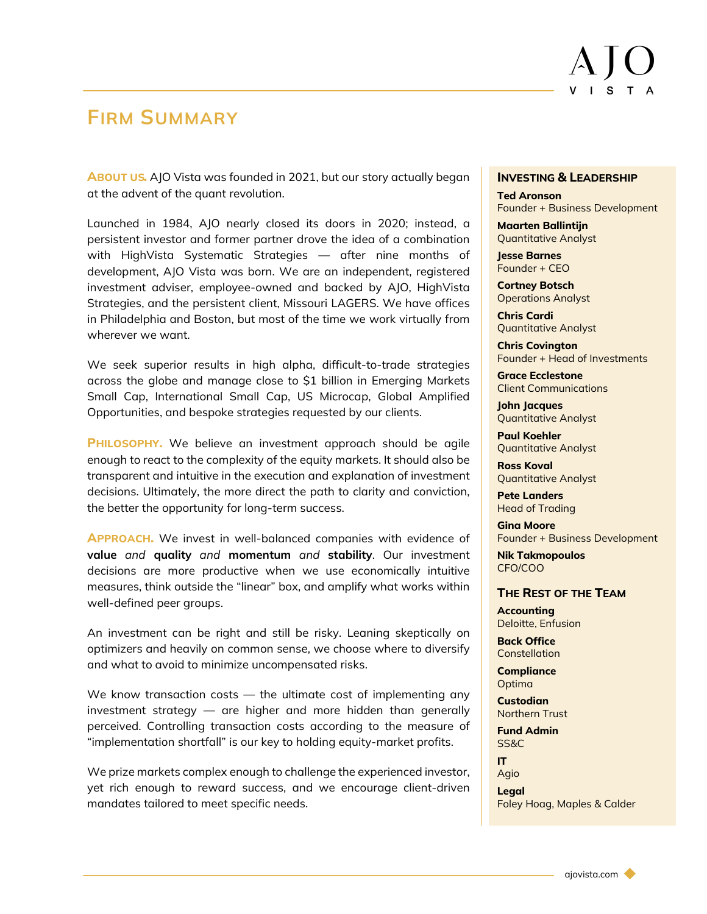# **FIRM SUMMARY**

**ABOUT US.** AJO Vista was founded in 2021, but our story actually began at the advent of the quant revolution.

Launched in 1984, AJO nearly closed its doors in 2020; instead, a persistent investor and former partner drove the idea of a combination with HighVista Systematic Strategies — after nine months of development, AJO Vista was born. We are an independent, registered investment adviser, employee-owned and backed by AJO, HighVista Strategies, and the persistent client, Missouri LAGERS. We have offices in Philadelphia and Boston, but most of the time we work virtually from wherever we want.

We seek superior results in high alpha, difficult-to-trade strategies across the globe and manage close to \$1 billion in Emerging Markets Small Cap, International Small Cap, US Microcap, Global Amplified Opportunities, and bespoke strategies requested by our clients.

**PHILOSOPHY.** We believe an investment approach should be agile enough to react to the complexity of the equity markets. It should also be transparent and intuitive in the execution and explanation of investment decisions. Ultimately, the more direct the path to clarity and conviction, the better the opportunity for long-term success.

**APPROACH.** We invest in well-balanced companies with evidence of **value** *and* **quality** *and* **momentum** *and* **stability**. Our investment decisions are more productive when we use economically intuitive measures, think outside the "linear" box, and amplify what works within well-defined peer groups.

An investment can be right and still be risky. Leaning skeptically on optimizers and heavily on common sense, we choose where to diversify and what to avoid to minimize uncompensated risks.

We know transaction costs — the ultimate cost of implementing any investment strategy — are higher and more hidden than generally perceived. Controlling transaction costs according to the measure of "implementation shortfall" is our key to holding equity-market profits.

We prize markets complex enough to challenge the experienced investor, yet rich enough to reward success, and we encourage client-driven mandates tailored to meet specific needs.

### **INVESTING & LEADERSHIP**

**Ted Aronson** Founder + Business Development

**Maarten Ballintijn** Quantitative Analyst

**Jesse Barnes** Founder + CEO

**Cortney Botsch** Operations Analyst

**Chris Cardi** Quantitative Analyst

**Chris Covington** Founder + Head of Investments

**Grace Ecclestone** Client Communications

**John Jacques** Quantitative Analyst

**Paul Koehler** Quantitative Analyst

**Ross Koval** Quantitative Analyst

**Pete Landers** Head of Trading

**Gina Moore** Founder + Business Development

**Nik Takmopoulos** CFO/COO

## **THE REST OF THE TEAM**

**Accounting** Deloitte, Enfusion

**Back Office Constellation** 

**Compliance Optima** 

**Custodian** Northern Trust

**Fund Admin** SS&C

**IT** Agio

**Legal** Foley Hoag, Maples & Calder